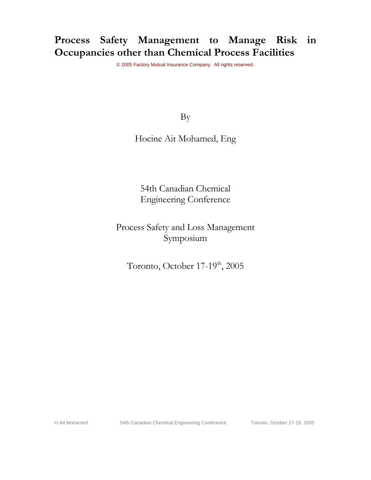# **Process Safety Management to Manage Risk in Occupancies other than Chemical Process Facilities**

© 2005 Factory Mutual Insurance Company. All rights reserved.

By

Hocine Ait Mohamed, Eng

54th Canadian Chemical Engineering Conference

Process Safety and Loss Management Symposium

Toronto, October 17-19<sup>th</sup>, 2005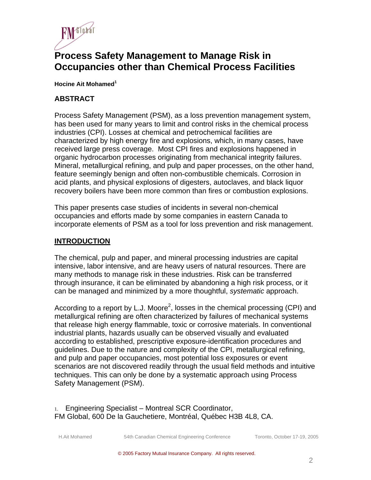

## **Process Safety Management to Manage Risk in Occupancies other than Chemical Process Facilities**

**Hocine Ait Mohamed1** 

#### **ABSTRACT**

Process Safety Management (PSM), as a loss prevention management system, has been used for many years to limit and control risks in the chemical process industries (CPI). Losses at chemical and petrochemical facilities are characterized by high energy fire and explosions, which, in many cases, have received large press coverage. Most CPI fires and explosions happened in organic hydrocarbon processes originating from mechanical integrity failures. Mineral, metallurgical refining, and pulp and paper processes, on the other hand, feature seemingly benign and often non-combustible chemicals. Corrosion in acid plants, and physical explosions of digesters, autoclaves, and black liquor recovery boilers have been more common than fires or combustion explosions.

This paper presents case studies of incidents in several non-chemical occupancies and efforts made by some companies in eastern Canada to incorporate elements of PSM as a tool for loss prevention and risk management.

#### **INTRODUCTION**

The chemical, pulp and paper, and mineral processing industries are capital intensive, labor intensive, and are heavy users of natural resources. There are many methods to manage risk in these industries. Risk can be transferred through insurance, it can be eliminated by abandoning a high risk process, or it can be managed and minimized by a more thoughtful, *systematic* approach.

According to a report by L.J. Moore<sup>2</sup>, losses in the chemical processing (CPI) and metallurgical refining are often characterized by failures of mechanical systems that release high energy flammable, toxic or corrosive materials. In conventional industrial plants, hazards usually can be observed visually and evaluated according to established, prescriptive exposure-identification procedures and guidelines. Due to the nature and complexity of the CPI, metallurgical refining, and pulp and paper occupancies, most potential loss exposures or event scenarios are not discovered readily through the usual field methods and intuitive techniques. This can only be done by a systematic approach using Process Safety Management (PSM).

1. Engineering Specialist – Montreal SCR Coordinator, FM Global, 600 De la Gauchetiere, Montréal, Québec H3B 4L8, CA.

H.Ait Mohamed 54th Canadian Chemical Engineering Conference Toronto, October 17-19, 2005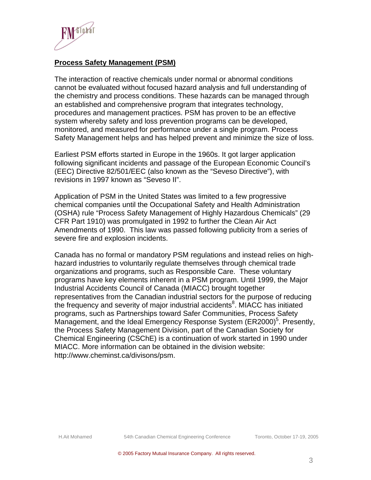

### **Process Safety Management (PSM)**

The interaction of reactive chemicals under normal or abnormal conditions cannot be evaluated without focused hazard analysis and full understanding of the chemistry and process conditions. These hazards can be managed through an established and comprehensive program that integrates technology, procedures and management practices. PSM has proven to be an effective system whereby safety and loss prevention programs can be developed, monitored, and measured for performance under a single program. Process Safety Management helps and has helped prevent and minimize the size of loss.

Earliest PSM efforts started in Europe in the 1960s. It got larger application following significant incidents and passage of the European Economic Council's (EEC) Directive 82/501/EEC (also known as the "Seveso Directive"), with revisions in 1997 known as "Seveso II".

Application of PSM in the United States was limited to a few progressive chemical companies until the Occupational Safety and Health Administration (OSHA) rule "Process Safety Management of Highly Hazardous Chemicals" (29 CFR Part 1910) was promulgated in 1992 to further the Clean Air Act Amendments of 1990. This law was passed following publicity from a series of severe fire and explosion incidents.

Canada has no formal or mandatory PSM regulations and instead relies on highhazard industries to voluntarily regulate themselves through chemical trade organizations and programs, such as Responsible Care. These voluntary programs have key elements inherent in a PSM program. Until 1999, the Major Industrial Accidents Council of Canada (MIACC) brought together representatives from the Canadian industrial sectors for the purpose of reducing the frequency and severity of major industrial accidents $8$ . MIACC has initiated programs, such as Partnerships toward Safer Communities, Process Safety Management, and the Ideal Emergency Response System (ER2000)<sup>5</sup>. Presently, the Process Safety Management Division, part of the Canadian Society for Chemical Engineering (CSChE) is a continuation of work started in 1990 under MIACC. More information can be obtained in the division website: http://www.cheminst.ca/divisons/psm.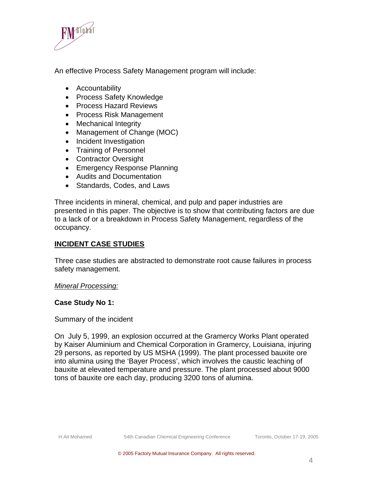

An effective Process Safety Management program will include:

- Accountability
- Process Safety Knowledge
- Process Hazard Reviews
- Process Risk Management
- Mechanical Integrity
- Management of Change (MOC)
- Incident Investigation
- Training of Personnel
- Contractor Oversight
- Emergency Response Planning
- Audits and Documentation
- Standards, Codes, and Laws

Three incidents in mineral, chemical, and pulp and paper industries are presented in this paper. The objective is to show that contributing factors are due to a lack of or a breakdown in Process Safety Management, regardless of the occupancy.

## **INCIDENT CASE STUDIES**

Three case studies are abstracted to demonstrate root cause failures in process safety management.

#### *Mineral Processing:*

#### **Case Study No 1:**

#### Summary of the incident

On July 5, 1999, an explosion occurred at the Gramercy Works Plant operated by Kaiser Aluminium and Chemical Corporation in Gramercy, Louisiana, injuring 29 persons, as reported by US MSHA (1999). The plant processed bauxite ore into alumina using the 'Bayer Process', which involves the caustic leaching of bauxite at elevated temperature and pressure. The plant processed about 9000 tons of bauxite ore each day, producing 3200 tons of alumina.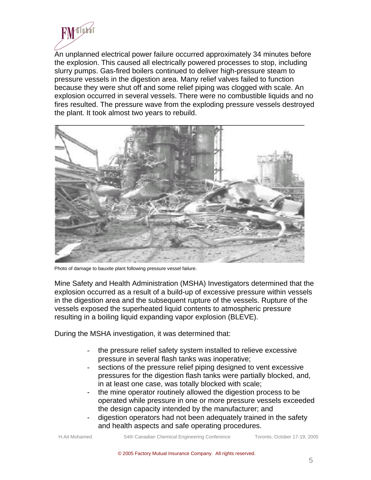

An unplanned electrical power failure occurred approximately 34 minutes before the explosion. This caused all electrically powered processes to stop, including slurry pumps. Gas-fired boilers continued to deliver high-pressure steam to pressure vessels in the digestion area. Many relief valves failed to function because they were shut off and some relief piping was clogged with scale. An explosion occurred in several vessels. There were no combustible liquids and no fires resulted. The pressure wave from the exploding pressure vessels destroyed the plant. It took almost two years to rebuild.



Photo of damage to bauxite plant following pressure vessel failure.

Mine Safety and Health Administration (MSHA) Investigators determined that the explosion occurred as a result of a build-up of excessive pressure within vessels in the digestion area and the subsequent rupture of the vessels. Rupture of the vessels exposed the superheated liquid contents to atmospheric pressure resulting in a boiling liquid expanding vapor explosion (BLEVE).

During the MSHA investigation, it was determined that:

- the pressure relief safety system installed to relieve excessive pressure in several flash tanks was inoperative;
- sections of the pressure relief piping designed to vent excessive pressures for the digestion flash tanks were partially blocked, and, in at least one case, was totally blocked with scale;
- the mine operator routinely allowed the digestion process to be operated while pressure in one or more pressure vessels exceeded the design capacity intended by the manufacturer; and
- digestion operators had not been adequately trained in the safety and health aspects and safe operating procedures.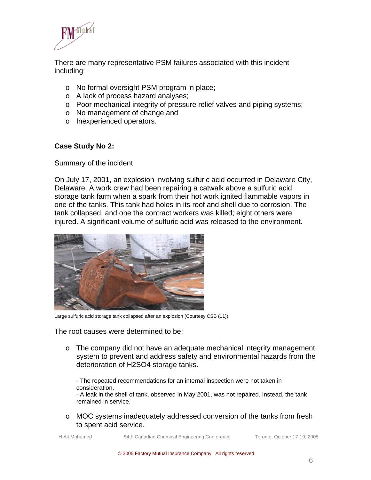

There are many representative PSM failures associated with this incident including:

- o No formal oversight PSM program in place;
- o A lack of process hazard analyses;
- o Poor mechanical integrity of pressure relief valves and piping systems;
- o No management of change;and
- o Inexperienced operators.

#### **Case Study No 2:**

Summary of the incident

On July 17, 2001, an explosion involving sulfuric acid occurred in Delaware City, Delaware. A work crew had been repairing a catwalk above a sulfuric acid storage tank farm when a spark from their hot work ignited flammable vapors in one of the tanks. This tank had holes in its roof and shell due to corrosion. The tank collapsed, and one the contract workers was killed; eight others were injured. A significant volume of sulfuric acid was released to the environment.



Large sulfuric acid storage tank collapsed after an explosion (Courtesy CSB (11)).

The root causes were determined to be:

 $\circ$  The company did not have an adequate mechanical integrity management system to prevent and address safety and environmental hazards from the deterioration of H2SO4 storage tanks.

- The repeated recommendations for an internal inspection were not taken in consideration.

- A leak in the shell of tank, observed in May 2001, was not repaired. Instead, the tank remained in service.

o MOC systems inadequately addressed conversion of the tanks from fresh to spent acid service.

H.Ait Mohamed 54th Canadian Chemical Engineering Conference Toronto, October 17-19, 2005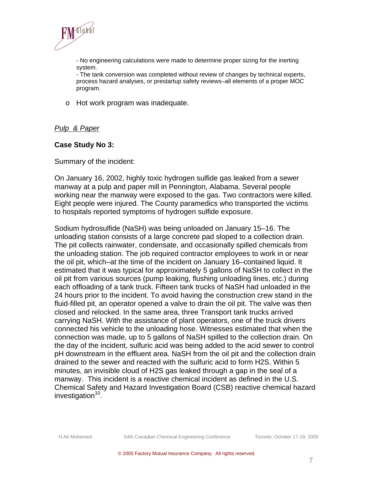

- No engineering calculations were made to determine proper sizing for the inerting system.

- The tank conversion was completed without review of changes by technical experts, process hazard analyses, or prestartup safety reviews–all elements of a proper MOC program.

o Hot work program was inadequate.

#### *Pulp & Paper*

#### **Case Study No 3:**

Summary of the incident:

On January 16, 2002, highly toxic hydrogen sulfide gas leaked from a sewer manway at a pulp and paper mill in Pennington, Alabama. Several people working near the manway were exposed to the gas. Two contractors were killed. Eight people were injured. The County paramedics who transported the victims to hospitals reported symptoms of hydrogen sulfide exposure.

Sodium hydrosulfide (NaSH) was being unloaded on January 15–16. The unloading station consists of a large concrete pad sloped to a collection drain. The pit collects rainwater, condensate, and occasionally spilled chemicals from the unloading station. The job required contractor employees to work in or near the oil pit, which–at the time of the incident on January 16–contained liquid. It estimated that it was typical for approximately 5 gallons of NaSH to collect in the oil pit from various sources (pump leaking, flushing unloading lines, etc.) during each offloading of a tank truck. Fifteen tank trucks of NaSH had unloaded in the 24 hours prior to the incident. To avoid having the construction crew stand in the fluid-filled pit, an operator opened a valve to drain the oil pit. The valve was then closed and relocked. In the same area, three Transport tank trucks arrived carrying NaSH. With the assistance of plant operators, one of the truck drivers connected his vehicle to the unloading hose. Witnesses estimated that when the connection was made, up to 5 gallons of NaSH spilled to the collection drain. On the day of the incident, sulfuric acid was being added to the acid sewer to control pH downstream in the effluent area. NaSH from the oil pit and the collection drain drained to the sewer and reacted with the sulfuric acid to form H2S. Within 5 minutes, an invisible cloud of H2S gas leaked through a gap in the seal of a manway. This incident is a reactive chemical incident as defined in the U.S. Chemical Safety and Hazard Investigation Board (CSB) reactive chemical hazard investigation $10$ .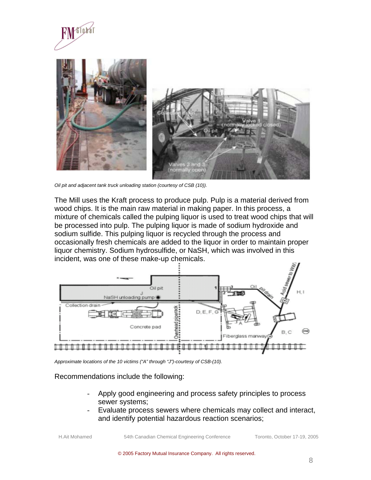



*Oil pit and adjacent tank truck unloading station (courtesy of CSB (10)).* 

The Mill uses the Kraft process to produce pulp. Pulp is a material derived from wood chips. It is the main raw material in making paper. In this process, a mixture of chemicals called the pulping liquor is used to treat wood chips that will be processed into pulp. The pulping liquor is made of sodium hydroxide and sodium sulfide. This pulping liquor is recycled through the process and occasionally fresh chemicals are added to the liquor in order to maintain proper liquor chemistry. Sodium hydrosulfide, or NaSH, which was involved in this incident, was one of these make-up chemicals.



*Approximate locations of the 10 victims ("A" through "J")-courtesy of CSB-(10).* 

#### Recommendations include the following:

- Apply good engineering and process safety principles to process sewer systems;
- Evaluate process sewers where chemicals may collect and interact, and identify potential hazardous reaction scenarios;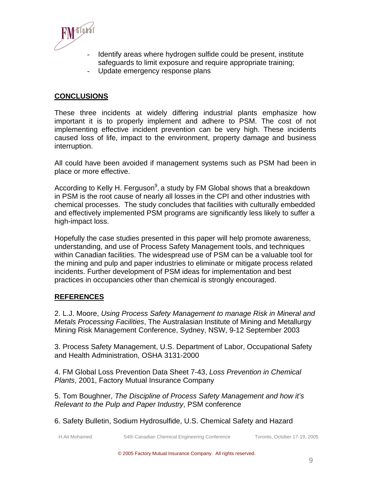

- Identify areas where hydrogen sulfide could be present, institute safeguards to limit exposure and require appropriate training;
- Update emergency response plans

## **CONCLUSIONS**

These three incidents at widely differing industrial plants emphasize how important it is to properly implement and adhere to PSM. The cost of not implementing effective incident prevention can be very high. These incidents caused loss of life, impact to the environment, property damage and business interruption.

All could have been avoided if management systems such as PSM had been in place or more effective.

According to Kelly H. Ferguson $^9$ , a study by FM Global shows that a breakdown in PSM is the root cause of nearly all losses in the CPI and other industries with chemical processes. The study concludes that facilities with culturally embedded and effectively implemented PSM programs are significantly less likely to suffer a high-impact loss.

Hopefully the case studies presented in this paper will help promote awareness, understanding, and use of Process Safety Management tools, and techniques within Canadian facilities. The widespread use of PSM can be a valuable tool for the mining and pulp and paper industries to eliminate or mitigate process related incidents. Further development of PSM ideas for implementation and best practices in occupancies other than chemical is strongly encouraged.

## **REFERENCES**

2. L.J. Moore, *Using Process Safety Management to manage Risk in Mineral and Metals Processing Facilities*, The Australasian Institute of Mining and Metallurgy Mining Risk Management Conference, Sydney, NSW, 9-12 September 2003

3. Process Safety Management, U.S. Department of Labor, Occupational Safety and Health Administration, OSHA 3131-2000

4. FM Global Loss Prevention Data Sheet 7-43, *Loss Prevention in Chemical Plants*, 2001, Factory Mutual Insurance Company

5. Tom Boughner, *The Discipline of Process Safety Management and how it's Relevant to the Pulp and Paper Industry*, PSM conference

6. Safety Bulletin, Sodium Hydrosulfide, U.S. Chemical Safety and Hazard

H.Ait Mohamed 54th Canadian Chemical Engineering Conference Toronto, October 17-19, 2005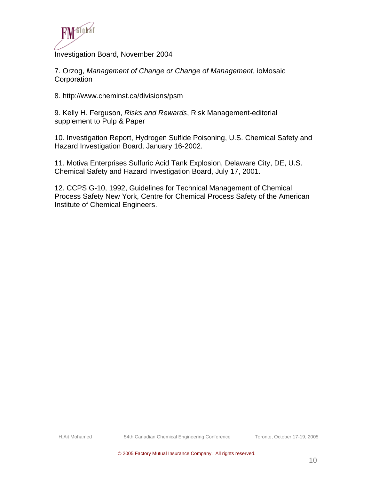

Investigation Board, November 2004

7. Orzog, *Management of Change or Change of Management*, ioMosaic **Corporation** 

8. http://www.cheminst.ca/divisions/psm

9. Kelly H. Ferguson, *Risks and Rewards*, Risk Management-editorial supplement to Pulp & Paper

10. Investigation Report, Hydrogen Sulfide Poisoning, U.S. Chemical Safety and Hazard Investigation Board, January 16-2002.

11. Motiva Enterprises Sulfuric Acid Tank Explosion, Delaware City, DE, U.S. Chemical Safety and Hazard Investigation Board, July 17, 2001.

12. CCPS G-10, 1992, Guidelines for Technical Management of Chemical Process Safety New York, Centre for Chemical Process Safety of the American Institute of Chemical Engineers.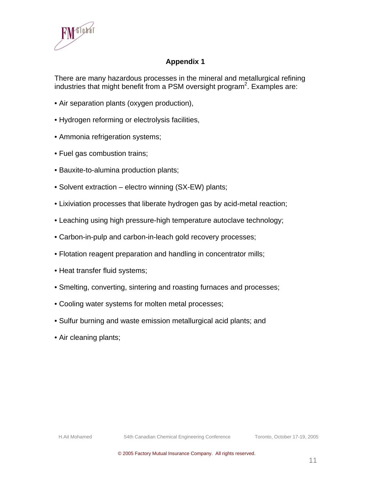

## **Appendix 1**

There are many hazardous processes in the mineral and metallurgical refining industries that might benefit from a PSM oversight program<sup>2</sup>. Examples are:

- Air separation plants (oxygen production),
- Hydrogen reforming or electrolysis facilities,
- Ammonia refrigeration systems;
- Fuel gas combustion trains;
- Bauxite-to-alumina production plants;
- Solvent extraction electro winning (SX-EW) plants;
- Lixiviation processes that liberate hydrogen gas by acid-metal reaction;
- Leaching using high pressure-high temperature autoclave technology;
- Carbon-in-pulp and carbon-in-leach gold recovery processes;
- Flotation reagent preparation and handling in concentrator mills;
- Heat transfer fluid systems;
- Smelting, converting, sintering and roasting furnaces and processes;
- Cooling water systems for molten metal processes;
- Sulfur burning and waste emission metallurgical acid plants; and
- Air cleaning plants;